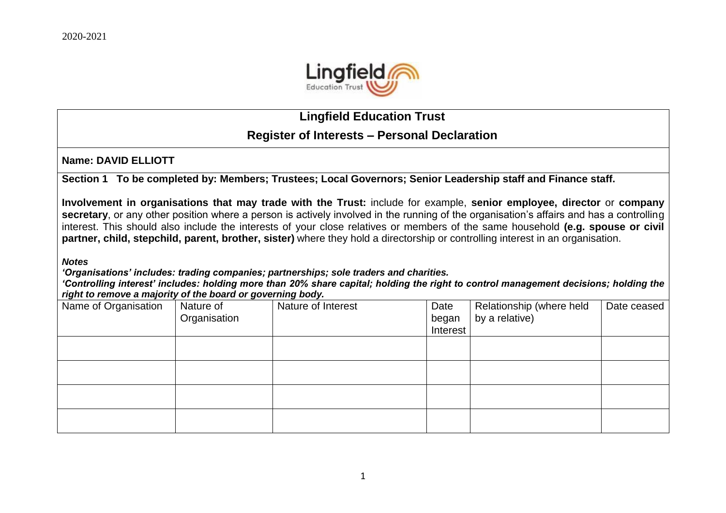

## **Lingfield Education Trust**

## **Register of Interests – Personal Declaration**

**Name: DAVID ELLIOTT**

**Section 1 To be completed by: Members; Trustees; Local Governors; Senior Leadership staff and Finance staff.**

**Involvement in organisations that may trade with the Trust:** include for example, **senior employee, director** or **company secretary**, or any other position where a person is actively involved in the running of the organisation's affairs and has a controlling interest. This should also include the interests of your close relatives or members of the same household **(e.g. spouse or civil partner, child, stepchild, parent, brother, sister)** where they hold a directorship or controlling interest in an organisation.

*Notes*

*'Organisations' includes: trading companies; partnerships; sole traders and charities.*

*'Controlling interest' includes: holding more than 20% share capital; holding the right to control management decisions; holding the right to remove a majority of the board or governing body.*

| Name of Organisation | Nature of<br>Organisation | Nature of Interest | Date<br>began<br>Interest | Relationship (where held<br>by a relative) | Date ceased |
|----------------------|---------------------------|--------------------|---------------------------|--------------------------------------------|-------------|
|                      |                           |                    |                           |                                            |             |
|                      |                           |                    |                           |                                            |             |
|                      |                           |                    |                           |                                            |             |
|                      |                           |                    |                           |                                            |             |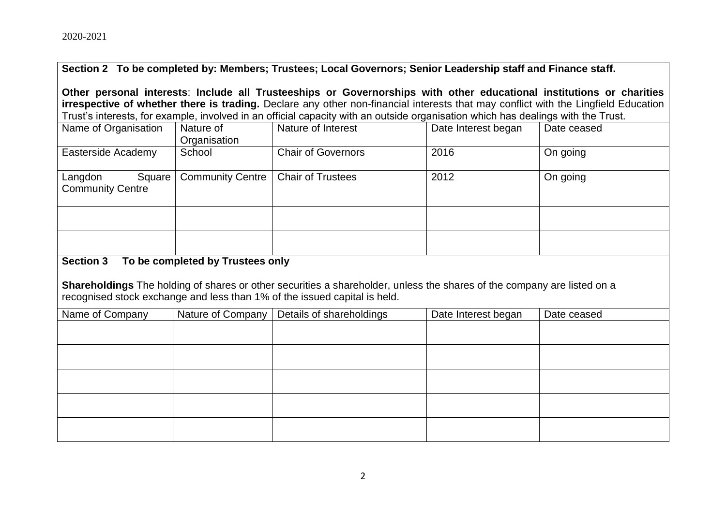## **Section 2 To be completed by: Members; Trustees; Local Governors; Senior Leadership staff and Finance staff.**

**Other personal interests**: **Include all Trusteeships or Governorships with other educational institutions or charities irrespective of whether there is trading.** Declare any other non-financial interests that may conflict with the Lingfield Education Trust's interests, for example, involved in an official capacity with an outside organisation which has dealings with the Trust.

| Name of Organisation    | Nature of               | Nature of Interest        | Date Interest began | Date ceased |
|-------------------------|-------------------------|---------------------------|---------------------|-------------|
|                         | Organisation            |                           |                     |             |
| Easterside Academy      | School                  | <b>Chair of Governors</b> | 2016                | On going    |
|                         |                         |                           |                     |             |
| Langdon<br>Square       | <b>Community Centre</b> | <b>Chair of Trustees</b>  | 2012                | On going    |
| <b>Community Centre</b> |                         |                           |                     |             |
|                         |                         |                           |                     |             |
|                         |                         |                           |                     |             |
|                         |                         |                           |                     |             |
|                         |                         |                           |                     |             |
|                         |                         |                           |                     |             |

## **Section 3 To be completed by Trustees only**

**Shareholdings** The holding of shares or other securities a shareholder, unless the shares of the company are listed on a recognised stock exchange and less than 1% of the issued capital is held.

| Name of Company | Nature of Company | Details of shareholdings | Date Interest began | Date ceased |
|-----------------|-------------------|--------------------------|---------------------|-------------|
|                 |                   |                          |                     |             |
|                 |                   |                          |                     |             |
|                 |                   |                          |                     |             |
|                 |                   |                          |                     |             |
|                 |                   |                          |                     |             |
|                 |                   |                          |                     |             |
|                 |                   |                          |                     |             |
|                 |                   |                          |                     |             |
|                 |                   |                          |                     |             |
|                 |                   |                          |                     |             |